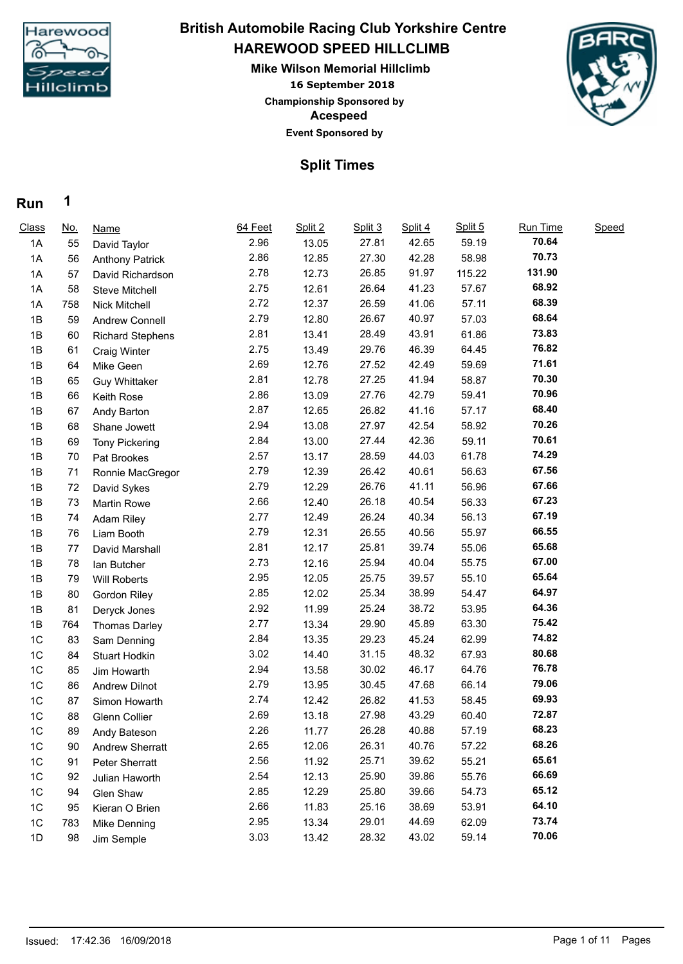

## **HAREWOOD SPEED HILLCLIMB Mike Wilson Memorial Hillclimb British Automobile Racing Club Yorkshire Centre**

**16 September 2018 Acespeed Event Sponsored by Championship Sponsored by**



## **Split Times**

#### **Run 1**

| Class          | <u>No.</u> | Name                    | 64 Feet | Split 2 | Split 3 | Split 4 | Split 5 | Run Time | Speed |  |
|----------------|------------|-------------------------|---------|---------|---------|---------|---------|----------|-------|--|
| 1A             | 55         | David Taylor            | 2.96    | 13.05   | 27.81   | 42.65   | 59.19   | 70.64    |       |  |
| 1A             | 56         | <b>Anthony Patrick</b>  | 2.86    | 12.85   | 27.30   | 42.28   | 58.98   | 70.73    |       |  |
| 1A             | 57         | David Richardson        | 2.78    | 12.73   | 26.85   | 91.97   | 115.22  | 131.90   |       |  |
| 1A             | 58         | <b>Steve Mitchell</b>   | 2.75    | 12.61   | 26.64   | 41.23   | 57.67   | 68.92    |       |  |
| 1A             | 758        | Nick Mitchell           | 2.72    | 12.37   | 26.59   | 41.06   | 57.11   | 68.39    |       |  |
| 1B             | 59         | Andrew Connell          | 2.79    | 12.80   | 26.67   | 40.97   | 57.03   | 68.64    |       |  |
| 1B             | 60         | <b>Richard Stephens</b> | 2.81    | 13.41   | 28.49   | 43.91   | 61.86   | 73.83    |       |  |
| 1B             | 61         | <b>Craig Winter</b>     | 2.75    | 13.49   | 29.76   | 46.39   | 64.45   | 76.82    |       |  |
| 1B             | 64         | Mike Geen               | 2.69    | 12.76   | 27.52   | 42.49   | 59.69   | 71.61    |       |  |
| 1B             | 65         | <b>Guy Whittaker</b>    | 2.81    | 12.78   | 27.25   | 41.94   | 58.87   | 70.30    |       |  |
| 1B             | 66         | Keith Rose              | 2.86    | 13.09   | 27.76   | 42.79   | 59.41   | 70.96    |       |  |
| 1B             | 67         | Andy Barton             | 2.87    | 12.65   | 26.82   | 41.16   | 57.17   | 68.40    |       |  |
| 1B             | 68         | Shane Jowett            | 2.94    | 13.08   | 27.97   | 42.54   | 58.92   | 70.26    |       |  |
| 1B             | 69         | <b>Tony Pickering</b>   | 2.84    | 13.00   | 27.44   | 42.36   | 59.11   | 70.61    |       |  |
| 1B             | 70         | Pat Brookes             | 2.57    | 13.17   | 28.59   | 44.03   | 61.78   | 74.29    |       |  |
| 1B             | 71         | Ronnie MacGregor        | 2.79    | 12.39   | 26.42   | 40.61   | 56.63   | 67.56    |       |  |
| 1B             | 72         | David Sykes             | 2.79    | 12.29   | 26.76   | 41.11   | 56.96   | 67.66    |       |  |
| 1B             | 73         | <b>Martin Rowe</b>      | 2.66    | 12.40   | 26.18   | 40.54   | 56.33   | 67.23    |       |  |
| 1B             | 74         | Adam Riley              | 2.77    | 12.49   | 26.24   | 40.34   | 56.13   | 67.19    |       |  |
| 1B             | 76         | Liam Booth              | 2.79    | 12.31   | 26.55   | 40.56   | 55.97   | 66.55    |       |  |
| 1B             | 77         | David Marshall          | 2.81    | 12.17   | 25.81   | 39.74   | 55.06   | 65.68    |       |  |
| 1B             | 78         | lan Butcher             | 2.73    | 12.16   | 25.94   | 40.04   | 55.75   | 67.00    |       |  |
| 1B             | 79         | Will Roberts            | 2.95    | 12.05   | 25.75   | 39.57   | 55.10   | 65.64    |       |  |
| 1B             | 80         | Gordon Riley            | 2.85    | 12.02   | 25.34   | 38.99   | 54.47   | 64.97    |       |  |
| 1B             | 81         | Deryck Jones            | 2.92    | 11.99   | 25.24   | 38.72   | 53.95   | 64.36    |       |  |
| 1B             | 764        | <b>Thomas Darley</b>    | 2.77    | 13.34   | 29.90   | 45.89   | 63.30   | 75.42    |       |  |
| 1C             | 83         | Sam Denning             | 2.84    | 13.35   | 29.23   | 45.24   | 62.99   | 74.82    |       |  |
| 1C             | 84         | Stuart Hodkin           | 3.02    | 14.40   | 31.15   | 48.32   | 67.93   | 80.68    |       |  |
| 1C             | 85         | Jim Howarth             | 2.94    | 13.58   | 30.02   | 46.17   | 64.76   | 76.78    |       |  |
| 1 <sup>C</sup> | 86         | <b>Andrew Dilnot</b>    | 2.79    | 13.95   | 30.45   | 47.68   | 66.14   | 79.06    |       |  |
| 1 <sup>C</sup> | 87         | Simon Howarth           | 2.74    | 12.42   | 26.82   | 41.53   | 58.45   | 69.93    |       |  |
| 1C             | 88         | <b>Glenn Collier</b>    | 2.69    | 13.18   | 27.98   | 43.29   | 60.40   | 72.87    |       |  |
| 1C             | 89         | Andy Bateson            | 2.26    | 11.77   | 26.28   | 40.88   | 57.19   | 68.23    |       |  |
| 1 <sup>C</sup> | 90         | <b>Andrew Sherratt</b>  | 2.65    | 12.06   | 26.31   | 40.76   | 57.22   | 68.26    |       |  |
| 1C             | 91         | Peter Sherratt          | 2.56    | 11.92   | 25.71   | 39.62   | 55.21   | 65.61    |       |  |
| 1C             | 92         | Julian Haworth          | 2.54    | 12.13   | 25.90   | 39.86   | 55.76   | 66.69    |       |  |
| 1C             | 94         | Glen Shaw               | 2.85    | 12.29   | 25.80   | 39.66   | 54.73   | 65.12    |       |  |
| 1C             | 95         | Kieran O Brien          | 2.66    | 11.83   | 25.16   | 38.69   | 53.91   | 64.10    |       |  |
| 1C             | 783        | Mike Denning            | 2.95    | 13.34   | 29.01   | 44.69   | 62.09   | 73.74    |       |  |
| 1D             | 98         | Jim Semple              | 3.03    | 13.42   | 28.32   | 43.02   | 59.14   | 70.06    |       |  |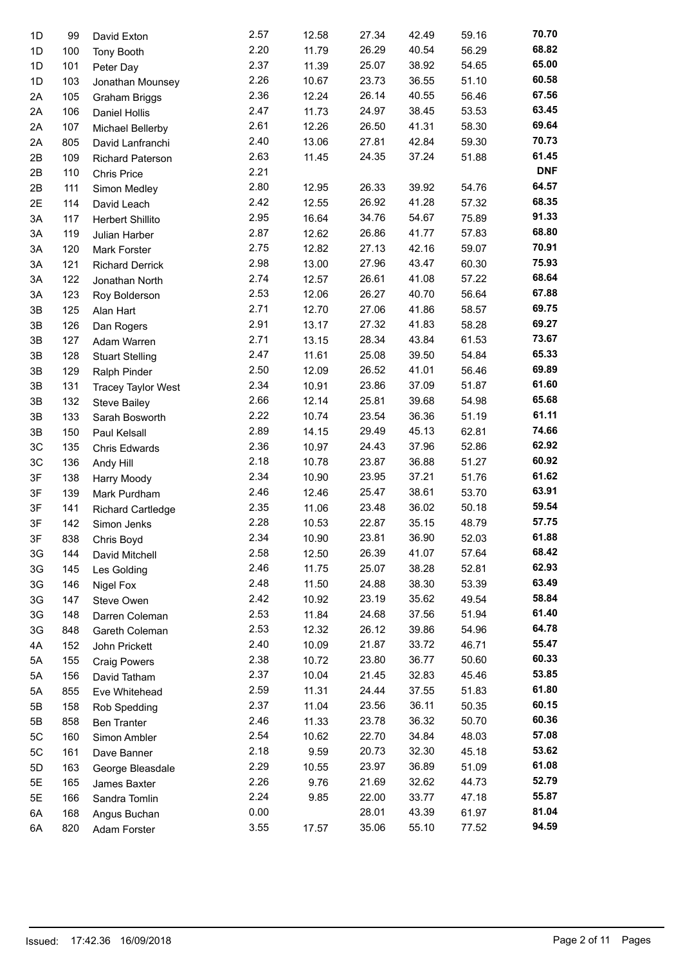| 1D | 99  | David Exton               | 2.57         | 12.58 | 27.34 | 42.49 | 59.16          | 70.70          |  |
|----|-----|---------------------------|--------------|-------|-------|-------|----------------|----------------|--|
| 1D | 100 | Tony Booth                | 2.20         | 11.79 | 26.29 | 40.54 | 56.29          | 68.82          |  |
| 1D | 101 | Peter Day                 | 2.37         | 11.39 | 25.07 | 38.92 | 54.65          | 65.00          |  |
| 1D | 103 | Jonathan Mounsey          | 2.26         | 10.67 | 23.73 | 36.55 | 51.10          | 60.58          |  |
| 2A | 105 | <b>Graham Briggs</b>      | 2.36         | 12.24 | 26.14 | 40.55 | 56.46          | 67.56          |  |
| 2A | 106 | <b>Daniel Hollis</b>      | 2.47         | 11.73 | 24.97 | 38.45 | 53.53          | 63.45          |  |
| 2A | 107 | Michael Bellerby          | 2.61         | 12.26 | 26.50 | 41.31 | 58.30          | 69.64          |  |
| 2A | 805 | David Lanfranchi          | 2.40         | 13.06 | 27.81 | 42.84 | 59.30          | 70.73          |  |
| 2B | 109 | Richard Paterson          | 2.63         | 11.45 | 24.35 | 37.24 | 51.88          | 61.45          |  |
| 2B | 110 | <b>Chris Price</b>        | 2.21         |       |       |       |                | <b>DNF</b>     |  |
| 2B | 111 | Simon Medley              | 2.80         | 12.95 | 26.33 | 39.92 | 54.76          | 64.57          |  |
| 2E | 114 | David Leach               | 2.42         | 12.55 | 26.92 | 41.28 | 57.32          | 68.35          |  |
| 3A | 117 | <b>Herbert Shillito</b>   | 2.95         | 16.64 | 34.76 | 54.67 | 75.89          | 91.33          |  |
| 3A |     |                           | 2.87         | 12.62 | 26.86 | 41.77 | 57.83          | 68.80          |  |
|    | 119 | Julian Harber             | 2.75         | 12.82 | 27.13 | 42.16 | 59.07          | 70.91          |  |
| 3A | 120 | Mark Forster              | 2.98         | 13.00 | 27.96 | 43.47 | 60.30          | 75.93          |  |
| 3A | 121 | <b>Richard Derrick</b>    |              |       |       |       |                | 68.64          |  |
| 3A | 122 | Jonathan North            | 2.74<br>2.53 | 12.57 | 26.61 | 41.08 | 57.22<br>56.64 | 67.88          |  |
| 3A | 123 | Roy Bolderson             |              | 12.06 | 26.27 | 40.70 |                | 69.75          |  |
| 3B | 125 | Alan Hart                 | 2.71         | 12.70 | 27.06 | 41.86 | 58.57          | 69.27          |  |
| 3B | 126 | Dan Rogers                | 2.91         | 13.17 | 27.32 | 41.83 | 58.28          |                |  |
| 3B | 127 | Adam Warren               | 2.71         | 13.15 | 28.34 | 43.84 | 61.53          | 73.67<br>65.33 |  |
| 3B | 128 | <b>Stuart Stelling</b>    | 2.47         | 11.61 | 25.08 | 39.50 | 54.84          |                |  |
| 3B | 129 | Ralph Pinder              | 2.50         | 12.09 | 26.52 | 41.01 | 56.46          | 69.89          |  |
| 3B | 131 | <b>Tracey Taylor West</b> | 2.34         | 10.91 | 23.86 | 37.09 | 51.87          | 61.60          |  |
| 3B | 132 | <b>Steve Bailey</b>       | 2.66         | 12.14 | 25.81 | 39.68 | 54.98          | 65.68          |  |
| 3B | 133 | Sarah Bosworth            | 2.22         | 10.74 | 23.54 | 36.36 | 51.19          | 61.11          |  |
| 3B | 150 | Paul Kelsall              | 2.89         | 14.15 | 29.49 | 45.13 | 62.81          | 74.66          |  |
| 3C | 135 | Chris Edwards             | 2.36         | 10.97 | 24.43 | 37.96 | 52.86          | 62.92          |  |
| 3C | 136 | Andy Hill                 | 2.18         | 10.78 | 23.87 | 36.88 | 51.27          | 60.92          |  |
| 3F | 138 | Harry Moody               | 2.34         | 10.90 | 23.95 | 37.21 | 51.76          | 61.62          |  |
| 3F | 139 | Mark Purdham              | 2.46         | 12.46 | 25.47 | 38.61 | 53.70          | 63.91          |  |
| 3F | 141 | <b>Richard Cartledge</b>  | 2.35         | 11.06 | 23.48 | 36.02 | 50.18          | 59.54          |  |
| 3F | 142 | Simon Jenks               | 2.28         | 10.53 | 22.87 | 35.15 | 48.79          | 57.75          |  |
| 3F | 838 | Chris Boyd                | 2.34         | 10.90 | 23.81 | 36.90 | 52.03          | 61.88          |  |
| 3G | 144 | David Mitchell            | 2.58         | 12.50 | 26.39 | 41.07 | 57.64          | 68.42          |  |
| 3G | 145 | Les Golding               | 2.46         | 11.75 | 25.07 | 38.28 | 52.81          | 62.93          |  |
| 3G | 146 | Nigel Fox                 | 2.48         | 11.50 | 24.88 | 38.30 | 53.39          | 63.49          |  |
| 3G | 147 | Steve Owen                | 2.42         | 10.92 | 23.19 | 35.62 | 49.54          | 58.84          |  |
| 3G | 148 | Darren Coleman            | 2.53         | 11.84 | 24.68 | 37.56 | 51.94          | 61.40          |  |
| 3G | 848 | Gareth Coleman            | 2.53         | 12.32 | 26.12 | 39.86 | 54.96          | 64.78          |  |
| 4A | 152 | John Prickett             | 2.40         | 10.09 | 21.87 | 33.72 | 46.71          | 55.47          |  |
| 5A | 155 | <b>Craig Powers</b>       | 2.38         | 10.72 | 23.80 | 36.77 | 50.60          | 60.33          |  |
| 5A | 156 | David Tatham              | 2.37         | 10.04 | 21.45 | 32.83 | 45.46          | 53.85          |  |
| 5A | 855 | Eve Whitehead             | 2.59         | 11.31 | 24.44 | 37.55 | 51.83          | 61.80          |  |
| 5Β | 158 | Rob Spedding              | 2.37         | 11.04 | 23.56 | 36.11 | 50.35          | 60.15          |  |
| 5Β | 858 | <b>Ben Tranter</b>        | 2.46         | 11.33 | 23.78 | 36.32 | 50.70          | 60.36          |  |
| 5C | 160 | Simon Ambler              | 2.54         | 10.62 | 22.70 | 34.84 | 48.03          | 57.08          |  |
| 5C | 161 | Dave Banner               | 2.18         | 9.59  | 20.73 | 32.30 | 45.18          | 53.62          |  |
| 5D | 163 | George Bleasdale          | 2.29         | 10.55 | 23.97 | 36.89 | 51.09          | 61.08          |  |
| 5E | 165 | James Baxter              | 2.26         | 9.76  | 21.69 | 32.62 | 44.73          | 52.79          |  |
| 5E | 166 | Sandra Tomlin             | 2.24         | 9.85  | 22.00 | 33.77 | 47.18          | 55.87          |  |
| 6A | 168 | Angus Buchan              | 0.00         |       | 28.01 | 43.39 | 61.97          | 81.04          |  |
| 6A | 820 | Adam Forster              | 3.55         | 17.57 | 35.06 | 55.10 | 77.52          | 94.59          |  |
|    |     |                           |              |       |       |       |                |                |  |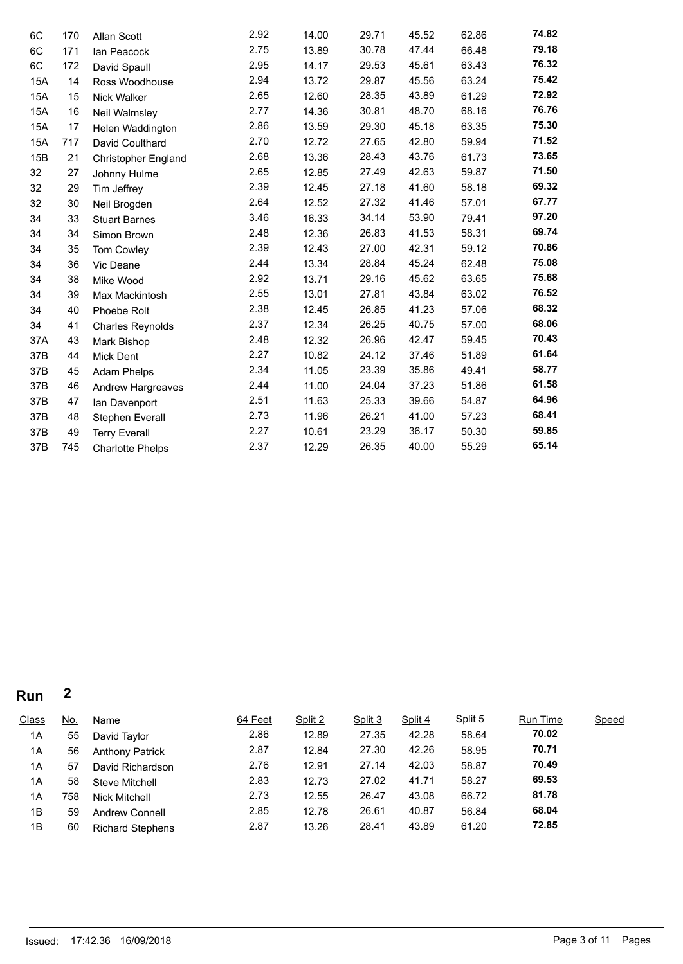| 6C  | 170 | Allan Scott                | 2.92 | 14.00 | 29.71 | 45.52 | 62.86 | 74.82 |
|-----|-----|----------------------------|------|-------|-------|-------|-------|-------|
| 6C  | 171 | Ian Peacock                | 2.75 | 13.89 | 30.78 | 47.44 | 66.48 | 79.18 |
| 6C  | 172 | David Spaull               | 2.95 | 14.17 | 29.53 | 45.61 | 63.43 | 76.32 |
| 15A | 14  | Ross Woodhouse             | 2.94 | 13.72 | 29.87 | 45.56 | 63.24 | 75.42 |
| 15A | 15  | Nick Walker                | 2.65 | 12.60 | 28.35 | 43.89 | 61.29 | 72.92 |
| 15A | 16  | Neil Walmsley              | 2.77 | 14.36 | 30.81 | 48.70 | 68.16 | 76.76 |
| 15A | 17  | Helen Waddington           | 2.86 | 13.59 | 29.30 | 45.18 | 63.35 | 75.30 |
| 15A | 717 | David Coulthard            | 2.70 | 12.72 | 27.65 | 42.80 | 59.94 | 71.52 |
| 15B | 21  | <b>Christopher England</b> | 2.68 | 13.36 | 28.43 | 43.76 | 61.73 | 73.65 |
| 32  | 27  | Johnny Hulme               | 2.65 | 12.85 | 27.49 | 42.63 | 59.87 | 71.50 |
| 32  | 29  | Tim Jeffrey                | 2.39 | 12.45 | 27.18 | 41.60 | 58.18 | 69.32 |
| 32  | 30  | Neil Brogden               | 2.64 | 12.52 | 27.32 | 41.46 | 57.01 | 67.77 |
| 34  | 33  | <b>Stuart Barnes</b>       | 3.46 | 16.33 | 34.14 | 53.90 | 79.41 | 97.20 |
| 34  | 34  | Simon Brown                | 2.48 | 12.36 | 26.83 | 41.53 | 58.31 | 69.74 |
| 34  | 35  | Tom Cowley                 | 2.39 | 12.43 | 27.00 | 42.31 | 59.12 | 70.86 |
| 34  | 36  | Vic Deane                  | 2.44 | 13.34 | 28.84 | 45.24 | 62.48 | 75.08 |
| 34  | 38  | Mike Wood                  | 2.92 | 13.71 | 29.16 | 45.62 | 63.65 | 75.68 |
| 34  | 39  | Max Mackintosh             | 2.55 | 13.01 | 27.81 | 43.84 | 63.02 | 76.52 |
| 34  | 40  | Phoebe Rolt                | 2.38 | 12.45 | 26.85 | 41.23 | 57.06 | 68.32 |
| 34  | 41  | <b>Charles Reynolds</b>    | 2.37 | 12.34 | 26.25 | 40.75 | 57.00 | 68.06 |
| 37A | 43  | Mark Bishop                | 2.48 | 12.32 | 26.96 | 42.47 | 59.45 | 70.43 |
| 37B | 44  | Mick Dent                  | 2.27 | 10.82 | 24.12 | 37.46 | 51.89 | 61.64 |
| 37B | 45  | Adam Phelps                | 2.34 | 11.05 | 23.39 | 35.86 | 49.41 | 58.77 |
| 37B | 46  | <b>Andrew Hargreaves</b>   | 2.44 | 11.00 | 24.04 | 37.23 | 51.86 | 61.58 |
| 37B | 47  | Ian Davenport              | 2.51 | 11.63 | 25.33 | 39.66 | 54.87 | 64.96 |
| 37B | 48  | Stephen Everall            | 2.73 | 11.96 | 26.21 | 41.00 | 57.23 | 68.41 |
| 37B | 49  | <b>Terry Everall</b>       | 2.27 | 10.61 | 23.29 | 36.17 | 50.30 | 59.85 |
| 37B | 745 | <b>Charlotte Phelps</b>    | 2.37 | 12.29 | 26.35 | 40.00 | 55.29 | 65.14 |

# **Run 2**

| Class | <u>No.</u> | <b>Name</b>             | 64 Feet | Split 2 | Split 3 | Split 4 | Split 5 | Run Time | <b>Speed</b> |
|-------|------------|-------------------------|---------|---------|---------|---------|---------|----------|--------------|
| 1A    | 55         | David Taylor            | 2.86    | 12.89   | 27.35   | 42.28   | 58.64   | 70.02    |              |
| 1A    | 56         | <b>Anthony Patrick</b>  | 2.87    | 12.84   | 27.30   | 42.26   | 58.95   | 70.71    |              |
| 1A    | 57         | David Richardson        | 2.76    | 12.91   | 27.14   | 42.03   | 58.87   | 70.49    |              |
| 1A    | 58         | Steve Mitchell          | 2.83    | 12.73   | 27.02   | 41.71   | 58.27   | 69.53    |              |
| 1A    | 758        | Nick Mitchell           | 2.73    | 12.55   | 26.47   | 43.08   | 66.72   | 81.78    |              |
| 1B    | 59         | <b>Andrew Connell</b>   | 2.85    | 12.78   | 26.61   | 40.87   | 56.84   | 68.04    |              |
| 1B    | 60         | <b>Richard Stephens</b> | 2.87    | 13.26   | 28.41   | 43.89   | 61.20   | 72.85    |              |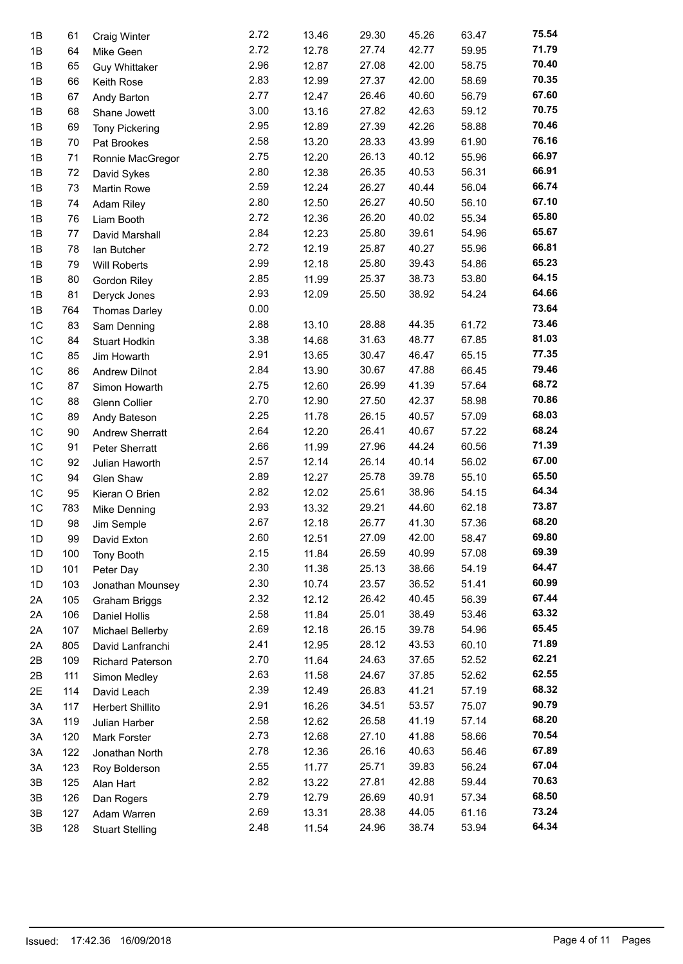| 1B | 61  | <b>Craig Winter</b>     | 2.72 | 13.46 | 29.30 | 45.26 | 63.47 | 75.54 |
|----|-----|-------------------------|------|-------|-------|-------|-------|-------|
| 1B | 64  | Mike Geen               | 2.72 | 12.78 | 27.74 | 42.77 | 59.95 | 71.79 |
| 1B | 65  | <b>Guy Whittaker</b>    | 2.96 | 12.87 | 27.08 | 42.00 | 58.75 | 70.40 |
| 1B | 66  | Keith Rose              | 2.83 | 12.99 | 27.37 | 42.00 | 58.69 | 70.35 |
| 1B | 67  | Andy Barton             | 2.77 | 12.47 | 26.46 | 40.60 | 56.79 | 67.60 |
| 1B | 68  | Shane Jowett            | 3.00 | 13.16 | 27.82 | 42.63 | 59.12 | 70.75 |
| 1B | 69  | <b>Tony Pickering</b>   | 2.95 | 12.89 | 27.39 | 42.26 | 58.88 | 70.46 |
| 1B | 70  | Pat Brookes             | 2.58 | 13.20 | 28.33 | 43.99 | 61.90 | 76.16 |
| 1B | 71  | Ronnie MacGregor        | 2.75 | 12.20 | 26.13 | 40.12 | 55.96 | 66.97 |
| 1B | 72  | David Sykes             | 2.80 | 12.38 | 26.35 | 40.53 | 56.31 | 66.91 |
| 1B | 73  | Martin Rowe             | 2.59 | 12.24 | 26.27 | 40.44 | 56.04 | 66.74 |
| 1B | 74  | Adam Riley              | 2.80 | 12.50 | 26.27 | 40.50 | 56.10 | 67.10 |
| 1B | 76  | Liam Booth              | 2.72 | 12.36 | 26.20 | 40.02 | 55.34 | 65.80 |
| 1B | 77  | David Marshall          | 2.84 | 12.23 | 25.80 | 39.61 | 54.96 | 65.67 |
| 1B | 78  | lan Butcher             | 2.72 | 12.19 | 25.87 | 40.27 | 55.96 | 66.81 |
| 1B | 79  | Will Roberts            | 2.99 | 12.18 | 25.80 | 39.43 | 54.86 | 65.23 |
| 1B | 80  | Gordon Riley            | 2.85 | 11.99 | 25.37 | 38.73 | 53.80 | 64.15 |
| 1B | 81  | Deryck Jones            | 2.93 | 12.09 | 25.50 | 38.92 | 54.24 | 64.66 |
| 1B | 764 | <b>Thomas Darley</b>    | 0.00 |       |       |       |       | 73.64 |
| 1C | 83  | Sam Denning             | 2.88 | 13.10 | 28.88 | 44.35 | 61.72 | 73.46 |
| 1C | 84  | Stuart Hodkin           | 3.38 | 14.68 | 31.63 | 48.77 | 67.85 | 81.03 |
| 1C | 85  | Jim Howarth             | 2.91 | 13.65 | 30.47 | 46.47 | 65.15 | 77.35 |
| 1C | 86  | <b>Andrew Dilnot</b>    | 2.84 | 13.90 | 30.67 | 47.88 | 66.45 | 79.46 |
| 1C | 87  | Simon Howarth           | 2.75 | 12.60 | 26.99 | 41.39 | 57.64 | 68.72 |
| 1C | 88  | Glenn Collier           | 2.70 | 12.90 | 27.50 | 42.37 | 58.98 | 70.86 |
| 1C | 89  | Andy Bateson            | 2.25 | 11.78 | 26.15 | 40.57 | 57.09 | 68.03 |
| 1C | 90  | Andrew Sherratt         | 2.64 | 12.20 | 26.41 | 40.67 | 57.22 | 68.24 |
| 1C | 91  | Peter Sherratt          | 2.66 | 11.99 | 27.96 | 44.24 | 60.56 | 71.39 |
| 1C | 92  | Julian Haworth          | 2.57 | 12.14 | 26.14 | 40.14 | 56.02 | 67.00 |
| 1C | 94  | Glen Shaw               | 2.89 | 12.27 | 25.78 | 39.78 | 55.10 | 65.50 |
| 1C | 95  | Kieran O Brien          | 2.82 | 12.02 | 25.61 | 38.96 | 54.15 | 64.34 |
| 1C | 783 | Mike Denning            | 2.93 | 13.32 | 29.21 | 44.60 | 62.18 | 73.87 |
| 1D | 98  | Jim Semple              | 2.67 | 12.18 | 26.77 | 41.30 | 57.36 | 68.20 |
| 1D | 99  | David Exton             | 2.60 | 12.51 | 27.09 | 42.00 | 58.47 | 69.80 |
| 1D | 100 | <b>Tony Booth</b>       | 2.15 | 11.84 | 26.59 | 40.99 | 57.08 | 69.39 |
| 1D | 101 | Peter Day               | 2.30 | 11.38 | 25.13 | 38.66 | 54.19 | 64.47 |
| 1D | 103 | Jonathan Mounsey        | 2.30 | 10.74 | 23.57 | 36.52 | 51.41 | 60.99 |
| 2A | 105 | Graham Briggs           | 2.32 | 12.12 | 26.42 | 40.45 | 56.39 | 67.44 |
| 2A | 106 | Daniel Hollis           | 2.58 | 11.84 | 25.01 | 38.49 | 53.46 | 63.32 |
| 2A | 107 | Michael Bellerby        | 2.69 | 12.18 | 26.15 | 39.78 | 54.96 | 65.45 |
| 2A | 805 | David Lanfranchi        | 2.41 | 12.95 | 28.12 | 43.53 | 60.10 | 71.89 |
| 2B | 109 | <b>Richard Paterson</b> | 2.70 | 11.64 | 24.63 | 37.65 | 52.52 | 62.21 |
| 2B | 111 | Simon Medley            | 2.63 | 11.58 | 24.67 | 37.85 | 52.62 | 62.55 |
| 2E | 114 | David Leach             | 2.39 | 12.49 | 26.83 | 41.21 | 57.19 | 68.32 |
| 3A | 117 | Herbert Shillito        | 2.91 | 16.26 | 34.51 | 53.57 | 75.07 | 90.79 |
| ЗA | 119 | Julian Harber           | 2.58 | 12.62 | 26.58 | 41.19 | 57.14 | 68.20 |
| 3A | 120 | Mark Forster            | 2.73 | 12.68 | 27.10 | 41.88 | 58.66 | 70.54 |
| ЗA | 122 | Jonathan North          | 2.78 | 12.36 | 26.16 | 40.63 | 56.46 | 67.89 |
| 3A | 123 | Roy Bolderson           | 2.55 | 11.77 | 25.71 | 39.83 | 56.24 | 67.04 |
| 3B | 125 | Alan Hart               | 2.82 | 13.22 | 27.81 | 42.88 | 59.44 | 70.63 |
| 3B | 126 | Dan Rogers              | 2.79 | 12.79 | 26.69 | 40.91 | 57.34 | 68.50 |
| 3B | 127 | Adam Warren             | 2.69 | 13.31 | 28.38 | 44.05 | 61.16 | 73.24 |
| 3B | 128 | <b>Stuart Stelling</b>  | 2.48 | 11.54 | 24.96 | 38.74 | 53.94 | 64.34 |
|    |     |                         |      |       |       |       |       |       |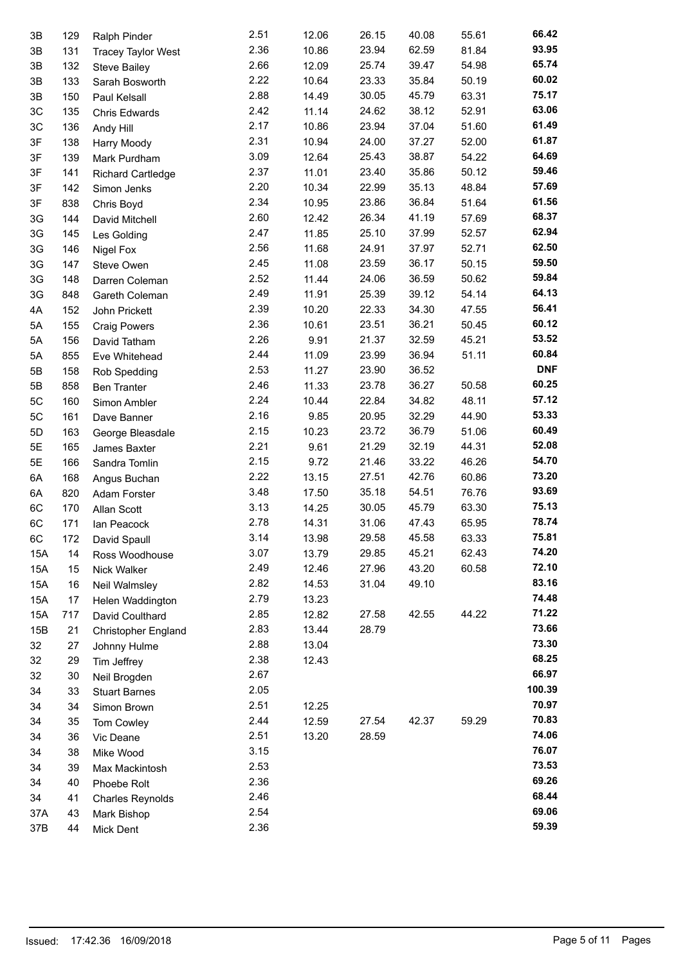| 3B  | 129 | Ralph Pinder               | 2.51 | 12.06 | 26.15 | 40.08 | 55.61 | 66.42      |
|-----|-----|----------------------------|------|-------|-------|-------|-------|------------|
| 3B  | 131 | <b>Tracey Taylor West</b>  | 2.36 | 10.86 | 23.94 | 62.59 | 81.84 | 93.95      |
| 3B  | 132 | <b>Steve Bailey</b>        | 2.66 | 12.09 | 25.74 | 39.47 | 54.98 | 65.74      |
| 3B  | 133 | Sarah Bosworth             | 2.22 | 10.64 | 23.33 | 35.84 | 50.19 | 60.02      |
| 3B  | 150 | Paul Kelsall               | 2.88 | 14.49 | 30.05 | 45.79 | 63.31 | 75.17      |
| 3C  | 135 | Chris Edwards              | 2.42 | 11.14 | 24.62 | 38.12 | 52.91 | 63.06      |
| 3C  | 136 | Andy Hill                  | 2.17 | 10.86 | 23.94 | 37.04 | 51.60 | 61.49      |
| 3F  | 138 | Harry Moody                | 2.31 | 10.94 | 24.00 | 37.27 | 52.00 | 61.87      |
| 3F  | 139 | Mark Purdham               | 3.09 | 12.64 | 25.43 | 38.87 | 54.22 | 64.69      |
| 3F  | 141 | <b>Richard Cartledge</b>   | 2.37 | 11.01 | 23.40 | 35.86 | 50.12 | 59.46      |
| 3F  | 142 | Simon Jenks                | 2.20 | 10.34 | 22.99 | 35.13 | 48.84 | 57.69      |
| 3F  | 838 |                            | 2.34 | 10.95 | 23.86 | 36.84 | 51.64 | 61.56      |
| 3G  |     | Chris Boyd                 | 2.60 | 12.42 | 26.34 | 41.19 | 57.69 | 68.37      |
|     | 144 | David Mitchell             | 2.47 |       |       |       |       | 62.94      |
| 3G  | 145 | Les Golding                |      | 11.85 | 25.10 | 37.99 | 52.57 | 62.50      |
| 3G  | 146 | Nigel Fox                  | 2.56 | 11.68 | 24.91 | 37.97 | 52.71 | 59.50      |
| 3G  | 147 | Steve Owen                 | 2.45 | 11.08 | 23.59 | 36.17 | 50.15 |            |
| 3G  | 148 | Darren Coleman             | 2.52 | 11.44 | 24.06 | 36.59 | 50.62 | 59.84      |
| 3G  | 848 | Gareth Coleman             | 2.49 | 11.91 | 25.39 | 39.12 | 54.14 | 64.13      |
| 4A  | 152 | John Prickett              | 2.39 | 10.20 | 22.33 | 34.30 | 47.55 | 56.41      |
| 5A  | 155 | <b>Craig Powers</b>        | 2.36 | 10.61 | 23.51 | 36.21 | 50.45 | 60.12      |
| 5A  | 156 | David Tatham               | 2.26 | 9.91  | 21.37 | 32.59 | 45.21 | 53.52      |
| 5A  | 855 | Eve Whitehead              | 2.44 | 11.09 | 23.99 | 36.94 | 51.11 | 60.84      |
| 5Β  | 158 | Rob Spedding               | 2.53 | 11.27 | 23.90 | 36.52 |       | <b>DNF</b> |
| 5B  | 858 | <b>Ben Tranter</b>         | 2.46 | 11.33 | 23.78 | 36.27 | 50.58 | 60.25      |
| 5C  | 160 | Simon Ambler               | 2.24 | 10.44 | 22.84 | 34.82 | 48.11 | 57.12      |
| 5C  | 161 | Dave Banner                | 2.16 | 9.85  | 20.95 | 32.29 | 44.90 | 53.33      |
| 5D  | 163 | George Bleasdale           | 2.15 | 10.23 | 23.72 | 36.79 | 51.06 | 60.49      |
| 5E  | 165 | James Baxter               | 2.21 | 9.61  | 21.29 | 32.19 | 44.31 | 52.08      |
| 5E  | 166 | Sandra Tomlin              | 2.15 | 9.72  | 21.46 | 33.22 | 46.26 | 54.70      |
| 6A  | 168 | Angus Buchan               | 2.22 | 13.15 | 27.51 | 42.76 | 60.86 | 73.20      |
| 6A  | 820 | Adam Forster               | 3.48 | 17.50 | 35.18 | 54.51 | 76.76 | 93.69      |
| 6C  | 170 | Allan Scott                | 3.13 | 14.25 | 30.05 | 45.79 | 63.30 | 75.13      |
| 6C  | 171 | Ian Peacock                | 2.78 | 14.31 | 31.06 | 47.43 | 65.95 | 78.74      |
| 6C  | 172 | David Spaull               | 3.14 | 13.98 | 29.58 | 45.58 | 63.33 | 75.81      |
| 15A | 14  | Ross Woodhouse             | 3.07 | 13.79 | 29.85 | 45.21 | 62.43 | 74.20      |
| 15A | 15  | Nick Walker                | 2.49 | 12.46 | 27.96 | 43.20 | 60.58 | 72.10      |
| 15A | 16  | Neil Walmsley              | 2.82 | 14.53 | 31.04 | 49.10 |       | 83.16      |
| 15A | 17  | Helen Waddington           | 2.79 | 13.23 |       |       |       | 74.48      |
| 15A | 717 | David Coulthard            | 2.85 | 12.82 | 27.58 | 42.55 | 44.22 | 71.22      |
| 15B | 21  | <b>Christopher England</b> | 2.83 | 13.44 | 28.79 |       |       | 73.66      |
| 32  | 27  |                            | 2.88 | 13.04 |       |       |       | 73.30      |
| 32  |     | Johnny Hulme               | 2.38 | 12.43 |       |       |       | 68.25      |
|     | 29  | Tim Jeffrey                | 2.67 |       |       |       |       | 66.97      |
| 32  | 30  | Neil Brogden               | 2.05 |       |       |       |       | 100.39     |
| 34  | 33  | <b>Stuart Barnes</b>       |      |       |       |       |       | 70.97      |
| 34  | 34  | Simon Brown                | 2.51 | 12.25 |       |       |       | 70.83      |
| 34  | 35  | Tom Cowley                 | 2.44 | 12.59 | 27.54 | 42.37 | 59.29 |            |
| 34  | 36  | Vic Deane                  | 2.51 | 13.20 | 28.59 |       |       | 74.06      |
| 34  | 38  | Mike Wood                  | 3.15 |       |       |       |       | 76.07      |
| 34  | 39  | Max Mackintosh             | 2.53 |       |       |       |       | 73.53      |
| 34  | 40  | Phoebe Rolt                | 2.36 |       |       |       |       | 69.26      |
| 34  | 41  | <b>Charles Reynolds</b>    | 2.46 |       |       |       |       | 68.44      |
| 37A | 43  | Mark Bishop                | 2.54 |       |       |       |       | 69.06      |
| 37B | 44  | Mick Dent                  | 2.36 |       |       |       |       | 59.39      |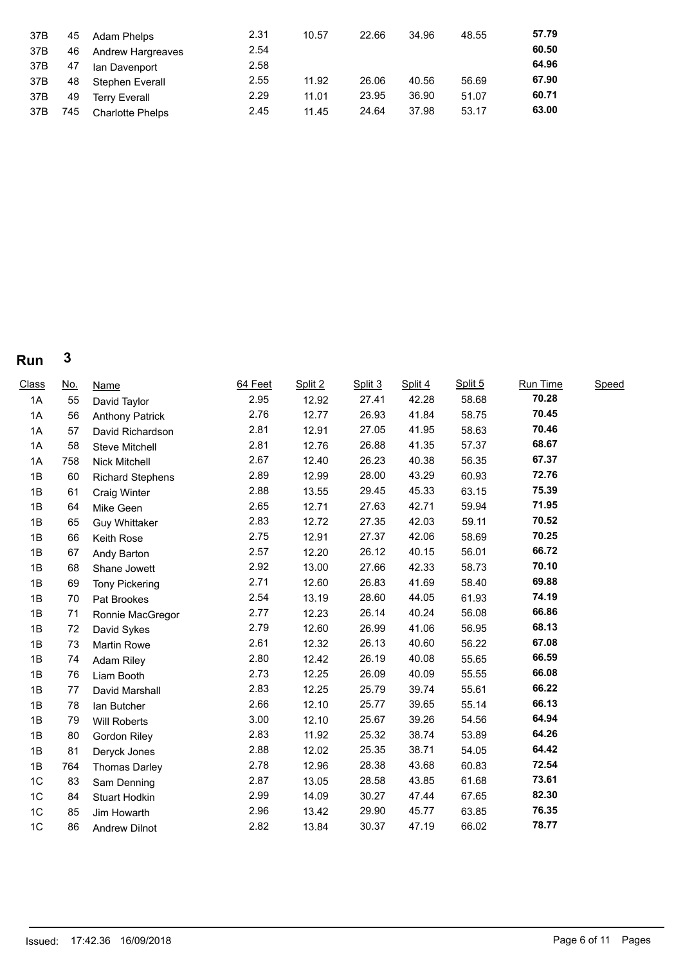| 37B | 45  | Adam Phelps             | 2.31 | 10.57 | 22.66 | 34.96 | 48.55 | 57.79 |
|-----|-----|-------------------------|------|-------|-------|-------|-------|-------|
| 37B | 46  | Andrew Hargreaves       | 2.54 |       |       |       |       | 60.50 |
| 37B | 47  | lan Davenport           | 2.58 |       |       |       |       | 64.96 |
| 37B | 48  | Stephen Everall         | 2.55 | 11.92 | 26.06 | 40.56 | 56.69 | 67.90 |
| 37B | 49  | Terry Everall           | 2.29 | 11.01 | 23.95 | 36.90 | 51.07 | 60.71 |
| 37B | 745 | <b>Charlotte Phelps</b> | 2.45 | 11.45 | 24.64 | 37.98 | 53.17 | 63.00 |

# **Run 3**

| Class | <u>No.</u> | <b>Name</b>             | 64 Feet | Split 2 | Split 3 | Split 4 | Split 5 | Run Time | Speed |  |
|-------|------------|-------------------------|---------|---------|---------|---------|---------|----------|-------|--|
| 1A    | 55         | David Taylor            | 2.95    | 12.92   | 27.41   | 42.28   | 58.68   | 70.28    |       |  |
| 1A    | 56         | <b>Anthony Patrick</b>  | 2.76    | 12.77   | 26.93   | 41.84   | 58.75   | 70.45    |       |  |
| 1A    | 57         | David Richardson        | 2.81    | 12.91   | 27.05   | 41.95   | 58.63   | 70.46    |       |  |
| 1A    | 58         | <b>Steve Mitchell</b>   | 2.81    | 12.76   | 26.88   | 41.35   | 57.37   | 68.67    |       |  |
| 1A    | 758        | Nick Mitchell           | 2.67    | 12.40   | 26.23   | 40.38   | 56.35   | 67.37    |       |  |
| 1B    | 60         | <b>Richard Stephens</b> | 2.89    | 12.99   | 28.00   | 43.29   | 60.93   | 72.76    |       |  |
| 1B    | 61         | <b>Craig Winter</b>     | 2.88    | 13.55   | 29.45   | 45.33   | 63.15   | 75.39    |       |  |
| 1B    | 64         | Mike Geen               | 2.65    | 12.71   | 27.63   | 42.71   | 59.94   | 71.95    |       |  |
| 1B    | 65         | <b>Guy Whittaker</b>    | 2.83    | 12.72   | 27.35   | 42.03   | 59.11   | 70.52    |       |  |
| 1B    | 66         | Keith Rose              | 2.75    | 12.91   | 27.37   | 42.06   | 58.69   | 70.25    |       |  |
| 1B    | 67         | Andy Barton             | 2.57    | 12.20   | 26.12   | 40.15   | 56.01   | 66.72    |       |  |
| 1B    | 68         | Shane Jowett            | 2.92    | 13.00   | 27.66   | 42.33   | 58.73   | 70.10    |       |  |
| 1B    | 69         | <b>Tony Pickering</b>   | 2.71    | 12.60   | 26.83   | 41.69   | 58.40   | 69.88    |       |  |
| 1B    | 70         | Pat Brookes             | 2.54    | 13.19   | 28.60   | 44.05   | 61.93   | 74.19    |       |  |
| 1B    | 71         | Ronnie MacGregor        | 2.77    | 12.23   | 26.14   | 40.24   | 56.08   | 66.86    |       |  |
| 1B    | 72         | David Sykes             | 2.79    | 12.60   | 26.99   | 41.06   | 56.95   | 68.13    |       |  |
| 1B    | 73         | Martin Rowe             | 2.61    | 12.32   | 26.13   | 40.60   | 56.22   | 67.08    |       |  |
| 1B    | 74         | <b>Adam Riley</b>       | 2.80    | 12.42   | 26.19   | 40.08   | 55.65   | 66.59    |       |  |
| 1B    | 76         | Liam Booth              | 2.73    | 12.25   | 26.09   | 40.09   | 55.55   | 66.08    |       |  |
| 1B    | 77         | David Marshall          | 2.83    | 12.25   | 25.79   | 39.74   | 55.61   | 66.22    |       |  |
| 1B    | 78         | lan Butcher             | 2.66    | 12.10   | 25.77   | 39.65   | 55.14   | 66.13    |       |  |
| 1B    | 79         | Will Roberts            | 3.00    | 12.10   | 25.67   | 39.26   | 54.56   | 64.94    |       |  |
| 1B    | 80         | Gordon Riley            | 2.83    | 11.92   | 25.32   | 38.74   | 53.89   | 64.26    |       |  |
| 1B    | 81         | Deryck Jones            | 2.88    | 12.02   | 25.35   | 38.71   | 54.05   | 64.42    |       |  |
| 1B    | 764        | <b>Thomas Darley</b>    | 2.78    | 12.96   | 28.38   | 43.68   | 60.83   | 72.54    |       |  |
| 1C    | 83         | Sam Denning             | 2.87    | 13.05   | 28.58   | 43.85   | 61.68   | 73.61    |       |  |
| 1C    | 84         | Stuart Hodkin           | 2.99    | 14.09   | 30.27   | 47.44   | 67.65   | 82.30    |       |  |
| 1C    | 85         | Jim Howarth             | 2.96    | 13.42   | 29.90   | 45.77   | 63.85   | 76.35    |       |  |
| 1C    | 86         | <b>Andrew Dilnot</b>    | 2.82    | 13.84   | 30.37   | 47.19   | 66.02   | 78.77    |       |  |
|       |            |                         |         |         |         |         |         |          |       |  |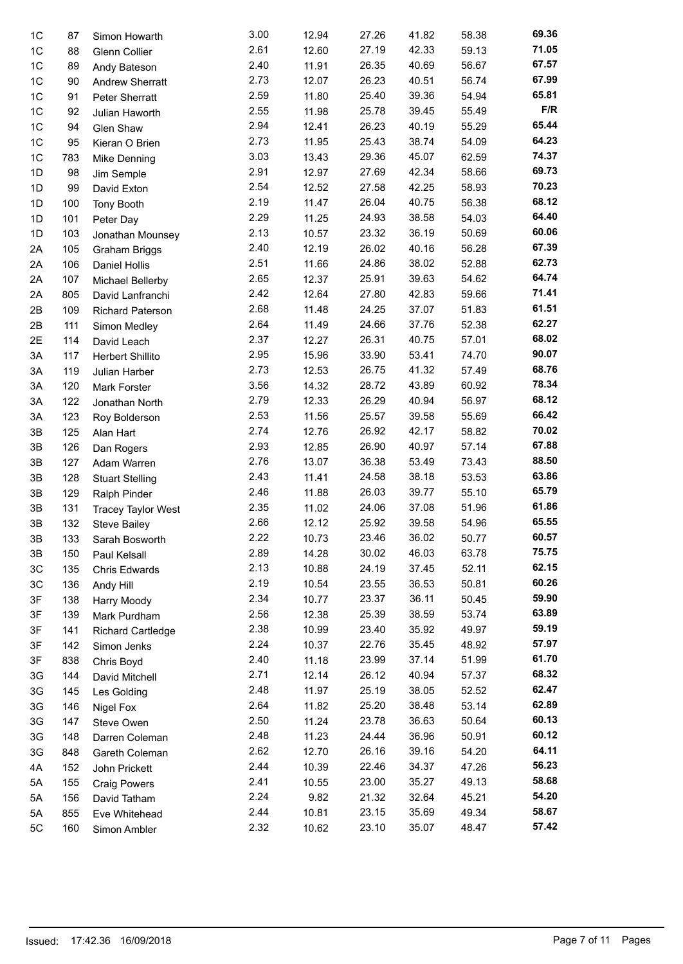|                |     |                           | 3.00 |       |       |       | 58.38 | 69.36 |
|----------------|-----|---------------------------|------|-------|-------|-------|-------|-------|
| 1 <sup>C</sup> | 87  | Simon Howarth             |      | 12.94 | 27.26 | 41.82 |       | 71.05 |
| 1C             | 88  | Glenn Collier             | 2.61 | 12.60 | 27.19 | 42.33 | 59.13 |       |
| 1C             | 89  | Andy Bateson              | 2.40 | 11.91 | 26.35 | 40.69 | 56.67 | 67.57 |
| 1C             | 90  | <b>Andrew Sherratt</b>    | 2.73 | 12.07 | 26.23 | 40.51 | 56.74 | 67.99 |
| 1C             | 91  | Peter Sherratt            | 2.59 | 11.80 | 25.40 | 39.36 | 54.94 | 65.81 |
| 1C             | 92  | Julian Haworth            | 2.55 | 11.98 | 25.78 | 39.45 | 55.49 | F/R   |
| 1 <sup>C</sup> | 94  | Glen Shaw                 | 2.94 | 12.41 | 26.23 | 40.19 | 55.29 | 65.44 |
| 1 <sup>C</sup> | 95  | Kieran O Brien            | 2.73 | 11.95 | 25.43 | 38.74 | 54.09 | 64.23 |
| 1C             | 783 | Mike Denning              | 3.03 | 13.43 | 29.36 | 45.07 | 62.59 | 74.37 |
| 1D             | 98  | Jim Semple                | 2.91 | 12.97 | 27.69 | 42.34 | 58.66 | 69.73 |
| 1D             | 99  | David Exton               | 2.54 | 12.52 | 27.58 | 42.25 | 58.93 | 70.23 |
| 1D             | 100 | <b>Tony Booth</b>         | 2.19 | 11.47 | 26.04 | 40.75 | 56.38 | 68.12 |
| 1D             | 101 | Peter Day                 | 2.29 | 11.25 | 24.93 | 38.58 | 54.03 | 64.40 |
| 1D             | 103 | Jonathan Mounsey          | 2.13 | 10.57 | 23.32 | 36.19 | 50.69 | 60.06 |
| 2A             | 105 | Graham Briggs             | 2.40 | 12.19 | 26.02 | 40.16 | 56.28 | 67.39 |
| 2A             | 106 | Daniel Hollis             | 2.51 | 11.66 | 24.86 | 38.02 | 52.88 | 62.73 |
| 2A             | 107 | Michael Bellerby          | 2.65 | 12.37 | 25.91 | 39.63 | 54.62 | 64.74 |
|                |     |                           | 2.42 | 12.64 | 27.80 | 42.83 | 59.66 | 71.41 |
| 2A             | 805 | David Lanfranchi          | 2.68 |       | 24.25 | 37.07 |       | 61.51 |
| 2B             | 109 | Richard Paterson          |      | 11.48 |       |       | 51.83 | 62.27 |
| 2B             | 111 | Simon Medley              | 2.64 | 11.49 | 24.66 | 37.76 | 52.38 |       |
| 2E             | 114 | David Leach               | 2.37 | 12.27 | 26.31 | 40.75 | 57.01 | 68.02 |
| 3A             | 117 | Herbert Shillito          | 2.95 | 15.96 | 33.90 | 53.41 | 74.70 | 90.07 |
| 3A             | 119 | Julian Harber             | 2.73 | 12.53 | 26.75 | 41.32 | 57.49 | 68.76 |
| 3A             | 120 | Mark Forster              | 3.56 | 14.32 | 28.72 | 43.89 | 60.92 | 78.34 |
| 3A             | 122 | Jonathan North            | 2.79 | 12.33 | 26.29 | 40.94 | 56.97 | 68.12 |
| 3A             | 123 | Roy Bolderson             | 2.53 | 11.56 | 25.57 | 39.58 | 55.69 | 66.42 |
| 3B             | 125 | Alan Hart                 | 2.74 | 12.76 | 26.92 | 42.17 | 58.82 | 70.02 |
| 3B             | 126 | Dan Rogers                | 2.93 | 12.85 | 26.90 | 40.97 | 57.14 | 67.88 |
| 3B             | 127 | Adam Warren               | 2.76 | 13.07 | 36.38 | 53.49 | 73.43 | 88.50 |
| 3B             | 128 | <b>Stuart Stelling</b>    | 2.43 | 11.41 | 24.58 | 38.18 | 53.53 | 63.86 |
| 3B             | 129 | Ralph Pinder              | 2.46 | 11.88 | 26.03 | 39.77 | 55.10 | 65.79 |
| 3B             | 131 | <b>Tracey Taylor West</b> | 2.35 | 11.02 | 24.06 | 37.08 | 51.96 | 61.86 |
| 3B             | 132 | <b>Steve Bailey</b>       | 2.66 | 12.12 | 25.92 | 39.58 | 54.96 | 65.55 |
| 3B             | 133 | Sarah Bosworth            | 2.22 | 10.73 | 23.46 | 36.02 | 50.77 | 60.57 |
| 3B             | 150 | Paul Kelsall              | 2.89 | 14.28 | 30.02 | 46.03 | 63.78 | 75.75 |
| 3C             | 135 |                           | 2.13 | 10.88 | 24.19 | 37.45 | 52.11 | 62.15 |
|                |     | Chris Edwards             | 2.19 | 10.54 | 23.55 | 36.53 | 50.81 | 60.26 |
| 3C             | 136 | Andy Hill                 | 2.34 |       | 23.37 | 36.11 | 50.45 | 59.90 |
| 3F             | 138 | Harry Moody               |      | 10.77 |       |       |       | 63.89 |
| 3F             | 139 | Mark Purdham              | 2.56 | 12.38 | 25.39 | 38.59 | 53.74 | 59.19 |
| 3F             | 141 | <b>Richard Cartledge</b>  | 2.38 | 10.99 | 23.40 | 35.92 | 49.97 |       |
| 3F             | 142 | Simon Jenks               | 2.24 | 10.37 | 22.76 | 35.45 | 48.92 | 57.97 |
| 3F             | 838 | Chris Boyd                | 2.40 | 11.18 | 23.99 | 37.14 | 51.99 | 61.70 |
| 3G             | 144 | David Mitchell            | 2.71 | 12.14 | 26.12 | 40.94 | 57.37 | 68.32 |
| 3G             | 145 | Les Golding               | 2.48 | 11.97 | 25.19 | 38.05 | 52.52 | 62.47 |
| 3G             | 146 | Nigel Fox                 | 2.64 | 11.82 | 25.20 | 38.48 | 53.14 | 62.89 |
| 3G             | 147 | Steve Owen                | 2.50 | 11.24 | 23.78 | 36.63 | 50.64 | 60.13 |
| 3G             | 148 | Darren Coleman            | 2.48 | 11.23 | 24.44 | 36.96 | 50.91 | 60.12 |
| 3G             | 848 | Gareth Coleman            | 2.62 | 12.70 | 26.16 | 39.16 | 54.20 | 64.11 |
| 4A             | 152 | John Prickett             | 2.44 | 10.39 | 22.46 | 34.37 | 47.26 | 56.23 |
| 5A             | 155 | <b>Craig Powers</b>       | 2.41 | 10.55 | 23.00 | 35.27 | 49.13 | 58.68 |
| 5A             | 156 | David Tatham              | 2.24 | 9.82  | 21.32 | 32.64 | 45.21 | 54.20 |
| 5A             | 855 | Eve Whitehead             | 2.44 | 10.81 | 23.15 | 35.69 | 49.34 | 58.67 |
| 5C             | 160 | Simon Ambler              | 2.32 | 10.62 | 23.10 | 35.07 | 48.47 | 57.42 |
|                |     |                           |      |       |       |       |       |       |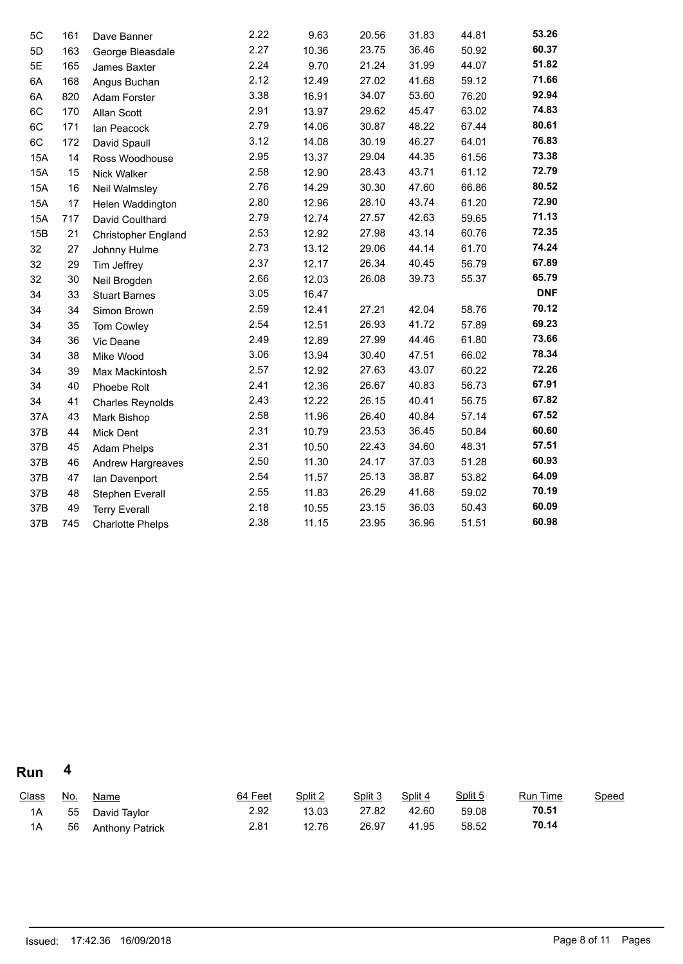| 5C         | 161 | Dave Banner                | 2.22 | 9.63  | 20.56 | 31.83 | 44.81 | 53.26      |
|------------|-----|----------------------------|------|-------|-------|-------|-------|------------|
| 5D         | 163 | George Bleasdale           | 2.27 | 10.36 | 23.75 | 36.46 | 50.92 | 60.37      |
| 5E         | 165 | James Baxter               | 2.24 | 9.70  | 21.24 | 31.99 | 44.07 | 51.82      |
| 6A         | 168 | Angus Buchan               | 2.12 | 12.49 | 27.02 | 41.68 | 59.12 | 71.66      |
| 6A         | 820 | Adam Forster               | 3.38 | 16.91 | 34.07 | 53.60 | 76.20 | 92.94      |
| 6C         | 170 | Allan Scott                | 2.91 | 13.97 | 29.62 | 45.47 | 63.02 | 74.83      |
| 6C         | 171 | lan Peacock                | 2.79 | 14.06 | 30.87 | 48.22 | 67.44 | 80.61      |
| 6C         | 172 | David Spaull               | 3.12 | 14.08 | 30.19 | 46.27 | 64.01 | 76.83      |
| <b>15A</b> | 14  | Ross Woodhouse             | 2.95 | 13.37 | 29.04 | 44.35 | 61.56 | 73.38      |
| 15A        | 15  | Nick Walker                | 2.58 | 12.90 | 28.43 | 43.71 | 61.12 | 72.79      |
| <b>15A</b> | 16  | Neil Walmsley              | 2.76 | 14.29 | 30.30 | 47.60 | 66.86 | 80.52      |
| 15A        | 17  | Helen Waddington           | 2.80 | 12.96 | 28.10 | 43.74 | 61.20 | 72.90      |
| 15A        | 717 | David Coulthard            | 2.79 | 12.74 | 27.57 | 42.63 | 59.65 | 71.13      |
| 15B        | 21  | <b>Christopher England</b> | 2.53 | 12.92 | 27.98 | 43.14 | 60.76 | 72.35      |
| 32         | 27  | Johnny Hulme               | 2.73 | 13.12 | 29.06 | 44.14 | 61.70 | 74.24      |
| 32         | 29  | Tim Jeffrey                | 2.37 | 12.17 | 26.34 | 40.45 | 56.79 | 67.89      |
| 32         | 30  | Neil Brogden               | 2.66 | 12.03 | 26.08 | 39.73 | 55.37 | 65.79      |
| 34         | 33  | <b>Stuart Barnes</b>       | 3.05 | 16.47 |       |       |       | <b>DNF</b> |
| 34         | 34  | Simon Brown                | 2.59 | 12.41 | 27.21 | 42.04 | 58.76 | 70.12      |
| 34         | 35  | Tom Cowley                 | 2.54 | 12.51 | 26.93 | 41.72 | 57.89 | 69.23      |
| 34         | 36  | Vic Deane                  | 2.49 | 12.89 | 27.99 | 44.46 | 61.80 | 73.66      |
| 34         | 38  | Mike Wood                  | 3.06 | 13.94 | 30.40 | 47.51 | 66.02 | 78.34      |
| 34         | 39  | Max Mackintosh             | 2.57 | 12.92 | 27.63 | 43.07 | 60.22 | 72.26      |
| 34         | 40  | Phoebe Rolt                | 2.41 | 12.36 | 26.67 | 40.83 | 56.73 | 67.91      |
| 34         | 41  | <b>Charles Reynolds</b>    | 2.43 | 12.22 | 26.15 | 40.41 | 56.75 | 67.82      |
| 37A        | 43  | Mark Bishop                | 2.58 | 11.96 | 26.40 | 40.84 | 57.14 | 67.52      |
| 37B        | 44  | Mick Dent                  | 2.31 | 10.79 | 23.53 | 36.45 | 50.84 | 60.60      |
| 37B        | 45  | <b>Adam Phelps</b>         | 2.31 | 10.50 | 22.43 | 34.60 | 48.31 | 57.51      |
| 37B        | 46  | Andrew Hargreaves          | 2.50 | 11.30 | 24.17 | 37.03 | 51.28 | 60.93      |
| 37B        | 47  | Ian Davenport              | 2.54 | 11.57 | 25.13 | 38.87 | 53.82 | 64.09      |
| 37B        | 48  | Stephen Everall            | 2.55 | 11.83 | 26.29 | 41.68 | 59.02 | 70.19      |
| 37B        | 49  | <b>Terry Everall</b>       | 2.18 | 10.55 | 23.15 | 36.03 | 50.43 | 60.09      |
| 37B        | 745 | <b>Charlotte Phelps</b>    | 2.38 | 11.15 | 23.95 | 36.96 | 51.51 | 60.98      |

**Run 4**

| Class | <u>No.</u> | <u>Name</u>            | 64 Feet | Split 2 | Split 3 | Split 4 | Split 5 | <u>Run Time</u> | Speed |
|-------|------------|------------------------|---------|---------|---------|---------|---------|-----------------|-------|
| 1A    | 55         | David Taylor           | 2.92    | 13.03   | 27.82   | 42.60   | 59.08   | 70.51           |       |
| 1А    | 56         | <b>Anthony Patrick</b> | 2.81    | 12.76   | 26.97   | 41.95   | 58.52   | 70.14           |       |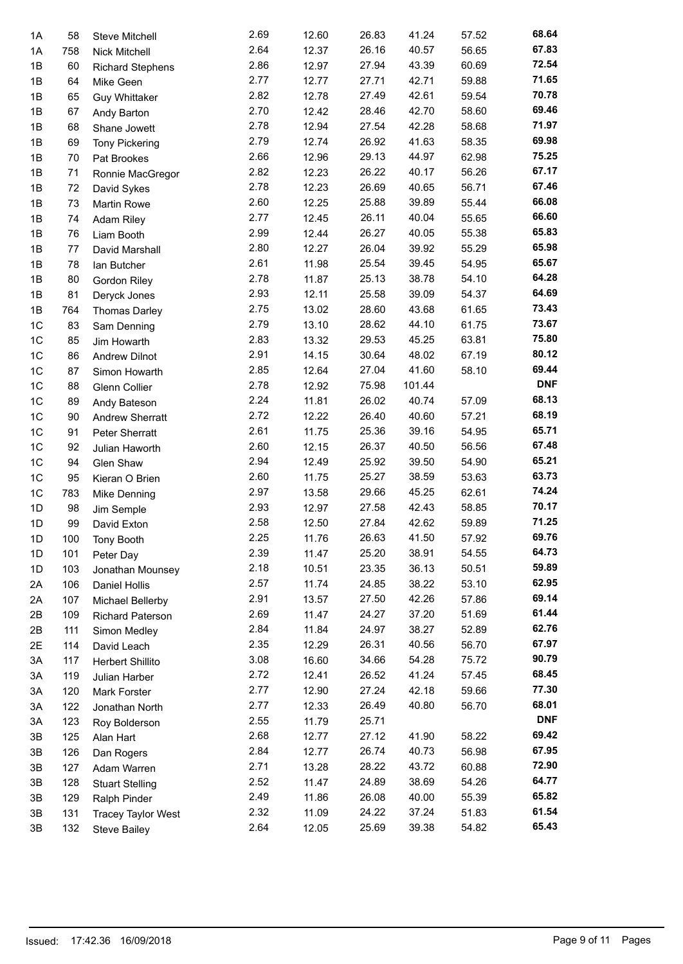| 1A             | 58  | <b>Steve Mitchell</b>                       | 2.69 | 12.60 | 26.83 | 41.24  | 57.52 | 68.64      |
|----------------|-----|---------------------------------------------|------|-------|-------|--------|-------|------------|
| 1A             | 758 | Nick Mitchell                               | 2.64 | 12.37 | 26.16 | 40.57  | 56.65 | 67.83      |
| 1B             | 60  | <b>Richard Stephens</b>                     | 2.86 | 12.97 | 27.94 | 43.39  | 60.69 | 72.54      |
| 1B             | 64  | Mike Geen                                   | 2.77 | 12.77 | 27.71 | 42.71  | 59.88 | 71.65      |
| 1B             | 65  | <b>Guy Whittaker</b>                        | 2.82 | 12.78 | 27.49 | 42.61  | 59.54 | 70.78      |
| 1B             | 67  | Andy Barton                                 | 2.70 | 12.42 | 28.46 | 42.70  | 58.60 | 69.46      |
| 1B             | 68  | Shane Jowett                                | 2.78 | 12.94 | 27.54 | 42.28  | 58.68 | 71.97      |
| 1B             | 69  | <b>Tony Pickering</b>                       | 2.79 | 12.74 | 26.92 | 41.63  | 58.35 | 69.98      |
| 1B             | 70  | Pat Brookes                                 | 2.66 | 12.96 | 29.13 | 44.97  | 62.98 | 75.25      |
| 1B             | 71  | Ronnie MacGregor                            | 2.82 | 12.23 | 26.22 | 40.17  | 56.26 | 67.17      |
| 1B             | 72  | David Sykes                                 | 2.78 | 12.23 | 26.69 | 40.65  | 56.71 | 67.46      |
| 1B             | 73  | <b>Martin Rowe</b>                          | 2.60 | 12.25 | 25.88 | 39.89  | 55.44 | 66.08      |
| 1B             | 74  | <b>Adam Riley</b>                           | 2.77 | 12.45 | 26.11 | 40.04  | 55.65 | 66.60      |
| 1B             | 76  | Liam Booth                                  | 2.99 | 12.44 | 26.27 | 40.05  | 55.38 | 65.83      |
| 1B             | 77  | David Marshall                              | 2.80 | 12.27 | 26.04 | 39.92  | 55.29 | 65.98      |
| 1B             | 78  | lan Butcher                                 | 2.61 | 11.98 | 25.54 | 39.45  | 54.95 | 65.67      |
| 1B             | 80  | <b>Gordon Riley</b>                         | 2.78 | 11.87 | 25.13 | 38.78  | 54.10 | 64.28      |
| 1B             | 81  | Deryck Jones                                | 2.93 | 12.11 | 25.58 | 39.09  | 54.37 | 64.69      |
| 1B             | 764 | <b>Thomas Darley</b>                        | 2.75 | 13.02 | 28.60 | 43.68  | 61.65 | 73.43      |
| 1C             | 83  | Sam Denning                                 | 2.79 | 13.10 | 28.62 | 44.10  | 61.75 | 73.67      |
| 1 <sup>C</sup> | 85  | Jim Howarth                                 | 2.83 | 13.32 | 29.53 | 45.25  | 63.81 | 75.80      |
| 1C             | 86  | <b>Andrew Dilnot</b>                        | 2.91 | 14.15 | 30.64 | 48.02  | 67.19 | 80.12      |
| 1C             | 87  | Simon Howarth                               | 2.85 | 12.64 | 27.04 | 41.60  | 58.10 | 69.44      |
| 1 <sup>C</sup> | 88  | Glenn Collier                               | 2.78 | 12.92 | 75.98 | 101.44 |       | <b>DNF</b> |
| 1C             | 89  | Andy Bateson                                | 2.24 | 11.81 | 26.02 | 40.74  | 57.09 | 68.13      |
| 1C             | 90  | Andrew Sherratt                             | 2.72 | 12.22 | 26.40 | 40.60  | 57.21 | 68.19      |
| 1C             | 91  | Peter Sherratt                              | 2.61 | 11.75 | 25.36 | 39.16  | 54.95 | 65.71      |
| 1 <sup>C</sup> | 92  | Julian Haworth                              | 2.60 | 12.15 | 26.37 | 40.50  | 56.56 | 67.48      |
| 1C             | 94  | Glen Shaw                                   | 2.94 | 12.49 | 25.92 | 39.50  | 54.90 | 65.21      |
| 1 <sup>C</sup> | 95  | Kieran O Brien                              | 2.60 | 11.75 | 25.27 | 38.59  | 53.63 | 63.73      |
| 1 <sup>C</sup> | 783 | Mike Denning                                | 2.97 | 13.58 | 29.66 | 45.25  | 62.61 | 74.24      |
| 1D             | 98  | Jim Semple                                  | 2.93 | 12.97 | 27.58 | 42.43  | 58.85 | 70.17      |
| 1D             | 99  | David Exton                                 | 2.58 | 12.50 | 27.84 | 42.62  | 59.89 | 71.25      |
| 1D             | 100 | Tony Booth                                  | 2.25 | 11.76 | 26.63 | 41.50  | 57.92 | 69.76      |
| 1D             | 101 |                                             | 2.39 | 11.47 | 25.20 | 38.91  | 54.55 | 64.73      |
| 1D             | 103 | Peter Day<br>Jonathan Mounsey               | 2.18 | 10.51 | 23.35 | 36.13  | 50.51 | 59.89      |
| 2A             | 106 | Daniel Hollis                               | 2.57 | 11.74 | 24.85 | 38.22  | 53.10 | 62.95      |
| 2A             | 107 |                                             | 2.91 | 13.57 | 27.50 | 42.26  | 57.86 | 69.14      |
| 2B             | 109 | Michael Bellerby<br><b>Richard Paterson</b> | 2.69 | 11.47 | 24.27 | 37.20  | 51.69 | 61.44      |
| 2B             | 111 |                                             | 2.84 | 11.84 | 24.97 | 38.27  | 52.89 | 62.76      |
|                |     | Simon Medley                                | 2.35 | 12.29 | 26.31 | 40.56  | 56.70 | 67.97      |
| 2E             | 114 | David Leach                                 | 3.08 | 16.60 | 34.66 | 54.28  | 75.72 | 90.79      |
| 3A             | 117 | Herbert Shillito                            | 2.72 |       | 26.52 | 41.24  | 57.45 | 68.45      |
| 3A             | 119 | Julian Harber                               |      | 12.41 |       |        |       | 77.30      |
| 3A             | 120 | <b>Mark Forster</b>                         | 2.77 | 12.90 | 27.24 | 42.18  | 59.66 | 68.01      |
| 3A             | 122 | Jonathan North                              | 2.77 | 12.33 | 26.49 | 40.80  | 56.70 | <b>DNF</b> |
| 3A             | 123 | Roy Bolderson                               | 2.55 | 11.79 | 25.71 |        |       | 69.42      |
| 3B             | 125 | Alan Hart                                   | 2.68 | 12.77 | 27.12 | 41.90  | 58.22 | 67.95      |
| 3B             | 126 | Dan Rogers                                  | 2.84 | 12.77 | 26.74 | 40.73  | 56.98 | 72.90      |
| 3B             | 127 | Adam Warren                                 | 2.71 | 13.28 | 28.22 | 43.72  | 60.88 | 64.77      |
| 3B             | 128 | <b>Stuart Stelling</b>                      | 2.52 | 11.47 | 24.89 | 38.69  | 54.26 |            |
| 3B             | 129 | Ralph Pinder                                | 2.49 | 11.86 | 26.08 | 40.00  | 55.39 | 65.82      |
| 3B             | 131 | <b>Tracey Taylor West</b>                   | 2.32 | 11.09 | 24.22 | 37.24  | 51.83 | 61.54      |
| 3B             | 132 | <b>Steve Bailey</b>                         | 2.64 | 12.05 | 25.69 | 39.38  | 54.82 | 65.43      |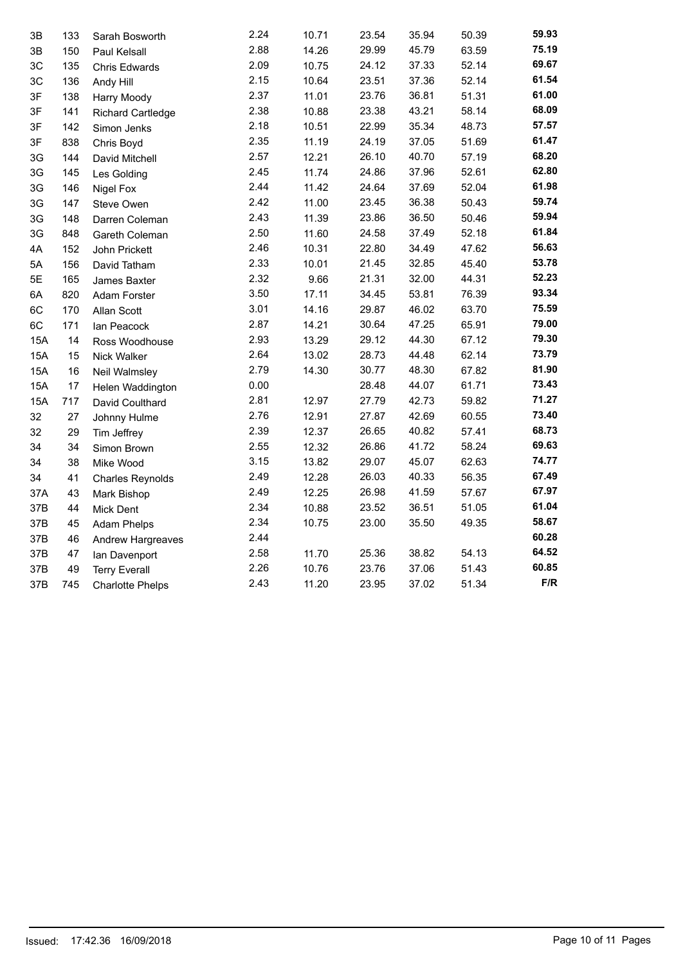| 3B         | 133 | Sarah Bosworth           | 2.24 | 10.71 | 23.54 | 35.94 | 50.39 | 59.93 |
|------------|-----|--------------------------|------|-------|-------|-------|-------|-------|
| 3B         | 150 | Paul Kelsall             | 2.88 | 14.26 | 29.99 | 45.79 | 63.59 | 75.19 |
| ЗC         | 135 | Chris Edwards            | 2.09 | 10.75 | 24.12 | 37.33 | 52.14 | 69.67 |
| 3C         | 136 | Andy Hill                | 2.15 | 10.64 | 23.51 | 37.36 | 52.14 | 61.54 |
| 3F         | 138 | <b>Harry Moody</b>       | 2.37 | 11.01 | 23.76 | 36.81 | 51.31 | 61.00 |
| 3F         | 141 | <b>Richard Cartledge</b> | 2.38 | 10.88 | 23.38 | 43.21 | 58.14 | 68.09 |
| 3F         | 142 | Simon Jenks              | 2.18 | 10.51 | 22.99 | 35.34 | 48.73 | 57.57 |
| 3F         | 838 | Chris Boyd               | 2.35 | 11.19 | 24.19 | 37.05 | 51.69 | 61.47 |
| 3G         | 144 | David Mitchell           | 2.57 | 12.21 | 26.10 | 40.70 | 57.19 | 68.20 |
| 3G         | 145 | Les Golding              | 2.45 | 11.74 | 24.86 | 37.96 | 52.61 | 62.80 |
| 3G         | 146 | Nigel Fox                | 2.44 | 11.42 | 24.64 | 37.69 | 52.04 | 61.98 |
| 3G         | 147 | Steve Owen               | 2.42 | 11.00 | 23.45 | 36.38 | 50.43 | 59.74 |
| 3G         | 148 | Darren Coleman           | 2.43 | 11.39 | 23.86 | 36.50 | 50.46 | 59.94 |
| 3G         | 848 | Gareth Coleman           | 2.50 | 11.60 | 24.58 | 37.49 | 52.18 | 61.84 |
| 4A         | 152 | John Prickett            | 2.46 | 10.31 | 22.80 | 34.49 | 47.62 | 56.63 |
| 5A         | 156 | David Tatham             | 2.33 | 10.01 | 21.45 | 32.85 | 45.40 | 53.78 |
| 5E         | 165 | James Baxter             | 2.32 | 9.66  | 21.31 | 32.00 | 44.31 | 52.23 |
| 6A         | 820 | Adam Forster             | 3.50 | 17.11 | 34.45 | 53.81 | 76.39 | 93.34 |
| 6C         | 170 | Allan Scott              | 3.01 | 14.16 | 29.87 | 46.02 | 63.70 | 75.59 |
| 6C         | 171 | Ian Peacock              | 2.87 | 14.21 | 30.64 | 47.25 | 65.91 | 79.00 |
| 15A        | 14  | Ross Woodhouse           | 2.93 | 13.29 | 29.12 | 44.30 | 67.12 | 79.30 |
| <b>15A</b> | 15  | Nick Walker              | 2.64 | 13.02 | 28.73 | 44.48 | 62.14 | 73.79 |
| <b>15A</b> | 16  | Neil Walmsley            | 2.79 | 14.30 | 30.77 | 48.30 | 67.82 | 81.90 |
| 15A        | 17  | Helen Waddington         | 0.00 |       | 28.48 | 44.07 | 61.71 | 73.43 |
| 15A        | 717 | David Coulthard          | 2.81 | 12.97 | 27.79 | 42.73 | 59.82 | 71.27 |
| 32         | 27  | Johnny Hulme             | 2.76 | 12.91 | 27.87 | 42.69 | 60.55 | 73.40 |
| 32         | 29  | Tim Jeffrey              | 2.39 | 12.37 | 26.65 | 40.82 | 57.41 | 68.73 |
| 34         | 34  | Simon Brown              | 2.55 | 12.32 | 26.86 | 41.72 | 58.24 | 69.63 |
| 34         | 38  | Mike Wood                | 3.15 | 13.82 | 29.07 | 45.07 | 62.63 | 74.77 |
| 34         | 41  | <b>Charles Reynolds</b>  | 2.49 | 12.28 | 26.03 | 40.33 | 56.35 | 67.49 |
| 37A        | 43  | Mark Bishop              | 2.49 | 12.25 | 26.98 | 41.59 | 57.67 | 67.97 |
| 37B        | 44  | Mick Dent                | 2.34 | 10.88 | 23.52 | 36.51 | 51.05 | 61.04 |
| 37B        | 45  | <b>Adam Phelps</b>       | 2.34 | 10.75 | 23.00 | 35.50 | 49.35 | 58.67 |
| 37B        | 46  | Andrew Hargreaves        | 2.44 |       |       |       |       | 60.28 |
| 37B        | 47  | Ian Davenport            | 2.58 | 11.70 | 25.36 | 38.82 | 54.13 | 64.52 |
| 37B        | 49  | <b>Terry Everall</b>     | 2.26 | 10.76 | 23.76 | 37.06 | 51.43 | 60.85 |
| 37B        | 745 | <b>Charlotte Phelps</b>  | 2.43 | 11.20 | 23.95 | 37.02 | 51.34 | F/R   |
|            |     |                          |      |       |       |       |       |       |